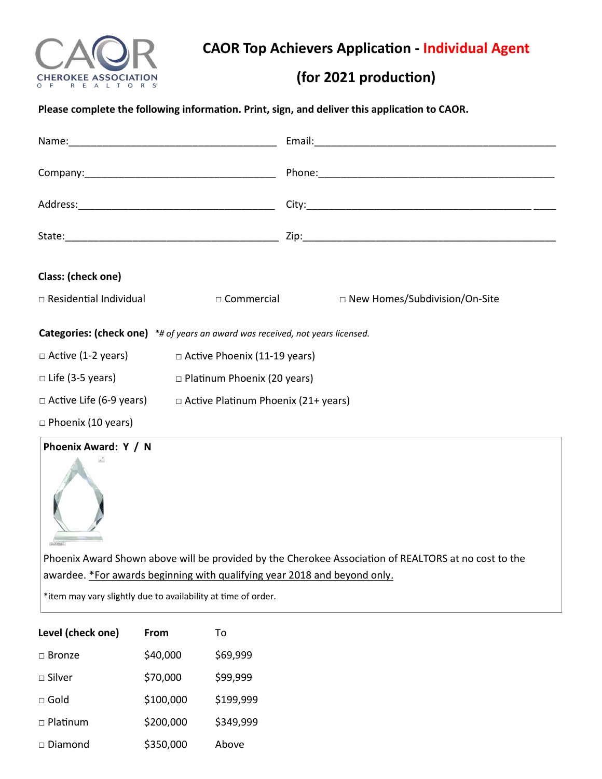

**CAOR Top Achievers Application - Individual Agent** 

## **(for 2021 production)**

**Please complete the following information. Print, sign, and deliver this application to CAOR.**

| Class: (check one)                                                             |                                                                                                      |  |  |
|--------------------------------------------------------------------------------|------------------------------------------------------------------------------------------------------|--|--|
| $\Box$ Residential Individual<br>$\Box$ Commercial                             | □ New Homes/Subdivision/On-Site                                                                      |  |  |
| Categories: (check one) *# of years an award was received, not years licensed. |                                                                                                      |  |  |
| $\Box$ Active (1-2 years) $\Box$ Active Phoenix (11-19 years)                  |                                                                                                      |  |  |
| $\square$ Life (3-5 years) $\square$ Platinum Phoenix (20 years)               |                                                                                                      |  |  |
| $\Box$ Active Life (6-9 years) $\Box$ Active Platinum Phoenix (21+ years)      |                                                                                                      |  |  |
| $\Box$ Phoenix (10 years)                                                      |                                                                                                      |  |  |
| Phoenix Award: Y / N                                                           | Phoenix Award Shown above will be provided by the Cherokee Association of REALTORS at no cost to the |  |  |

awardee. *\*For awards beginning with qualifying year 2018 and beyond only.* 

\*item may vary slightly due to availability at time of order.

| Level (check one) | From      | Т٥        |  |
|-------------------|-----------|-----------|--|
| $\sqcap$ Bronze   | \$40,000  | \$69,999  |  |
| $\sqcap$ Silver   | \$70,000  | \$99,999  |  |
| $\sqcap$ Gold     | \$100,000 | \$199,999 |  |
| $\sqcap$ Platinum | \$200,000 | \$349,999 |  |
| $\sqcap$ Diamond  | \$350,000 | Above     |  |